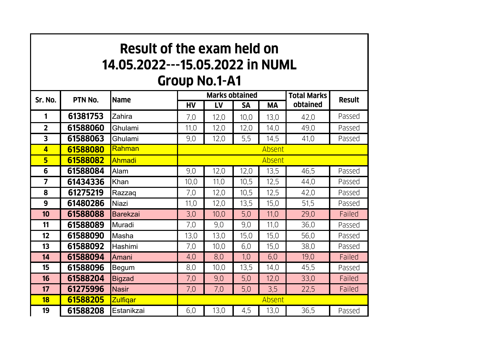## **Result of the exam held on 14.05.2022---15.05.2022 in NUML Group No.1-A1**

| Sr. No.        | PTN No.  | Name            | <b>Marks obtained</b> |      |           |      | <b>Total Marks</b> | <b>Result</b> |  |  |
|----------------|----------|-----------------|-----------------------|------|-----------|------|--------------------|---------------|--|--|
|                |          |                 | HV                    | LV   | <b>SA</b> | MА   | obtained           |               |  |  |
| 1              | 61381753 | Zahira          | 7,0                   | 12,0 | 10,0      | 13,0 | 42,0               | Passed        |  |  |
| $\overline{2}$ | 61588060 | Ghulami         | 11,0                  | 12,0 | 12,0      | 14,0 | 49,0               | Passed        |  |  |
| 3              | 61588063 | Ghulami         | 9,0                   | 12,0 | 5,5       | 14,5 | 41,0               | Passed        |  |  |
| 4              | 61588080 | Rahman          | Absent                |      |           |      |                    |               |  |  |
| 5              | 61588082 | Ahmadi          | Absent                |      |           |      |                    |               |  |  |
| 6              | 61588084 | Alam            | 9,0                   | 12,0 | 12,0      | 13,5 | 46,5               | Passed        |  |  |
| 7              | 61434336 | Khan            | 10,0                  | 11,0 | 10,5      | 12,5 | 44,0               | Passed        |  |  |
| 8              | 61275219 | Razzaq          | 7,0                   | 12,0 | 10,5      | 12,5 | 42,0               | Passed        |  |  |
| 9              | 61480286 | Niazi           | 11,0                  | 12,0 | 13,5      | 15,0 | 51,5               | Passed        |  |  |
| 10             | 61588088 | <b>Barekzai</b> | 3,0                   | 10,0 | 5,0       | 11,0 | 29,0               | Failed        |  |  |
| 11             | 61588089 | Muradi          | 7,0                   | 9,0  | 9,0       | 11,0 | 36,0               | Passed        |  |  |
| 12             | 61588090 | Masha           | 13,0                  | 13,0 | 15,0      | 15,0 | 56,0               | Passed        |  |  |
| 13             | 61588092 | Hashimi         | 7,0                   | 10,0 | 6,0       | 15,0 | 38,0               | Passed        |  |  |
| 14             | 61588094 | Amani           | 4,0                   | 8,0  | 1,0       | 6,0  | 19,0               | Failed        |  |  |
| 15             | 61588096 | Begum           | 8,0                   | 10,0 | 13,5      | 14,0 | 45,5               | Passed        |  |  |
| 16             | 61588204 | <b>Bigzad</b>   | 7,0                   | 9,0  | 5,0       | 12,0 | 33,0               | Failed        |  |  |
| 17             | 61275996 | <b>Nasir</b>    | 7,0                   | 7,0  | 5,0       | 3,5  | 22,5               | Failed        |  |  |
| 18             | 61588205 | <b>Zulfigar</b> | Absent                |      |           |      |                    |               |  |  |
| 19             | 61588208 | Estanikzai      | 6,0                   | 13,0 | 4,5       | 13,0 | 36,5               | Passed        |  |  |